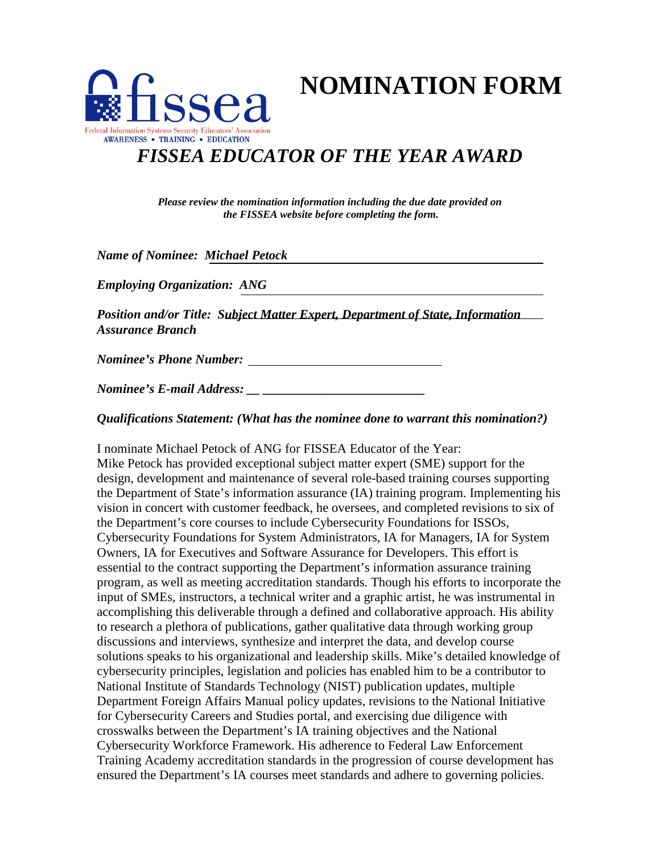

**NOMINATION FORM** 

## *FISSEA EDUCATOR OF THE YEAR AWARD*

*Please review the nomination information including the due date provided on the FISSEA website before completing the form.* 

 *Name of Nominee: Michael Petock* 

 *Employing Organization: ANG* 

Position and/or Title: Subject Matter Expert, Department of State, Information *Assurance Branch* 

*Nominee's Phone Number:*  $\blacksquare$ 

*Nominee's Phone Number: Nominee's E-mail Address: \_\_ \_\_\_\_\_\_\_\_\_\_\_\_\_\_\_\_\_\_\_\_\_\_\_\_\_* 

*Qualifications Statement: (What has the nominee done to warrant this nomination?)* 

 I nominate Michael Petock of ANG for FISSEA Educator of the Year: vision in concert with customer feedback, he oversees, and completed revisions to six of Owners, IA for Executives and Software Assurance for Developers. This effort is National Institute of Standards Technology (NIST) publication updates, multiple Department Foreign Affairs Manual policy updates, revisions to the National Initiative ensured the Department's IA courses meet standards and adhere to governing policies. Mike Petock has provided exceptional subject matter expert (SME) support for the design, development and maintenance of several role-based training courses supporting the Department of State's information assurance (IA) training program. Implementing his the Department's core courses to include Cybersecurity Foundations for ISSOs, Cybersecurity Foundations for System Administrators, IA for Managers, IA for System essential to the contract supporting the Department's information assurance training program, as well as meeting accreditation standards. Though his efforts to incorporate the input of SMEs, instructors, a technical writer and a graphic artist, he was instrumental in accomplishing this deliverable through a defined and collaborative approach. His ability to research a plethora of publications, gather qualitative data through working group discussions and interviews, synthesize and interpret the data, and develop course solutions speaks to his organizational and leadership skills. Mike's detailed knowledge of cybersecurity principles, legislation and policies has enabled him to be a contributor to for Cybersecurity Careers and Studies portal, and exercising due diligence with crosswalks between the Department's IA training objectives and the National Cybersecurity Workforce Framework. His adherence to Federal Law Enforcement Training Academy accreditation standards in the progression of course development has